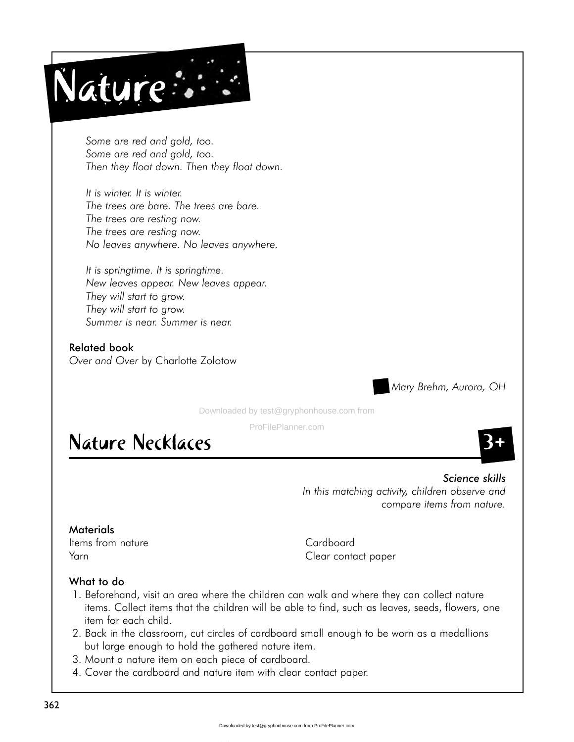

*Some are red and gold, too. Some are red and gold, too. Then they float down. Then they float down.*

*It is winter. It is winter. The trees are bare. The trees are bare. The trees are resting now. The trees are resting now. No leaves anywhere. No leaves anywhere.*

*It is springtime. It is springtime. New leaves appear. New leaves appear. They will start to grow. They will start to grow. Summer is near. Summer is near.*

Related book *Over and Over* by Charlotte Zolotow

*H Mary Brehm, Aurora, OH*

Downloaded by test@gryphonhouse.com from

ProFilePlanner.com

# **Nature Necklaces**

*Science skills In this matching activity, children observe and compare items from nature.*

# **Materials**

Items from nature and the Cardboard Cardboard

Yarn Clear contact paper

# What to do

- 1. Beforehand, visit an area where the children can walk and where they can collect nature items. Collect items that the children will be able to find, such as leaves, seeds, flowers, one item for each child.
- 2. Back in the classroom, cut circles of cardboard small enough to be worn as a medallions but large enough to hold the gathered nature item.
- 3. Mount a nature item on each piece of cardboard.
- 4. Cover the cardboard and nature item with clear contact paper.